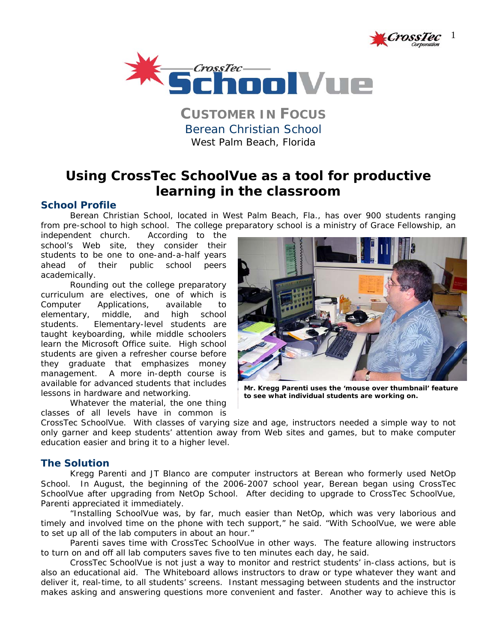



**CUSTOMER IN FOCUS** Berean Christian School *West Palm Beach, Florida* 

# **Using CrossTec SchoolVue as a tool for productive learning in the classroom**

## **School Profile**

Berean Christian School, located in West Palm Beach, Fla., has over 900 students ranging from pre-school to high school. The college preparatory school is a ministry of Grace Fellowship, an

independent church. According to the school's Web site, they consider their students to be one to one-and-a-half years ahead of their public school peers academically.

Rounding out the college preparatory curriculum are electives, one of which is Computer Applications, available to elementary, middle, and high school students. Elementary-level students are taught keyboarding, while middle schoolers learn the Microsoft Office suite. High school students are given a refresher course before they graduate that emphasizes money management. A more in-depth course is available for advanced students that includes lessons in hardware and networking.

Whatever the material, the one thing classes of all levels have in common is



**Mr. Kregg Parenti uses the 'mouse over thumbnail' feature to see what individual students are working on.** 

CrossTec SchoolVue. With classes of varying size and age, instructors needed a simple way to not only garner and keep students' attention away from Web sites and games, but to make computer education easier and bring it to a higher level.

## **The Solution**

Kregg Parenti and JT Blanco are computer instructors at Berean who formerly used NetOp School. In August, the beginning of the 2006-2007 school year, Berean began using CrossTec SchoolVue after upgrading from NetOp School. After deciding to upgrade to CrossTec SchoolVue, Parenti appreciated it immediately.

 "Installing SchoolVue was, by far, much easier than NetOp, which was very laborious and timely and involved time on the phone with tech support," he said. "With SchoolVue, we were able to set up all of the lab computers in about an hour."

 Parenti saves time with CrossTec SchoolVue in other ways. The feature allowing instructors to turn on and off all lab computers saves five to ten minutes each day, he said.

CrossTec SchoolVue is not just a way to monitor and restrict students' in-class actions, but is also an educational aid. The Whiteboard allows instructors to draw or type whatever they want and deliver it, real-time, to all students' screens. Instant messaging between students and the instructor makes asking and answering questions more convenient and faster. Another way to achieve this is